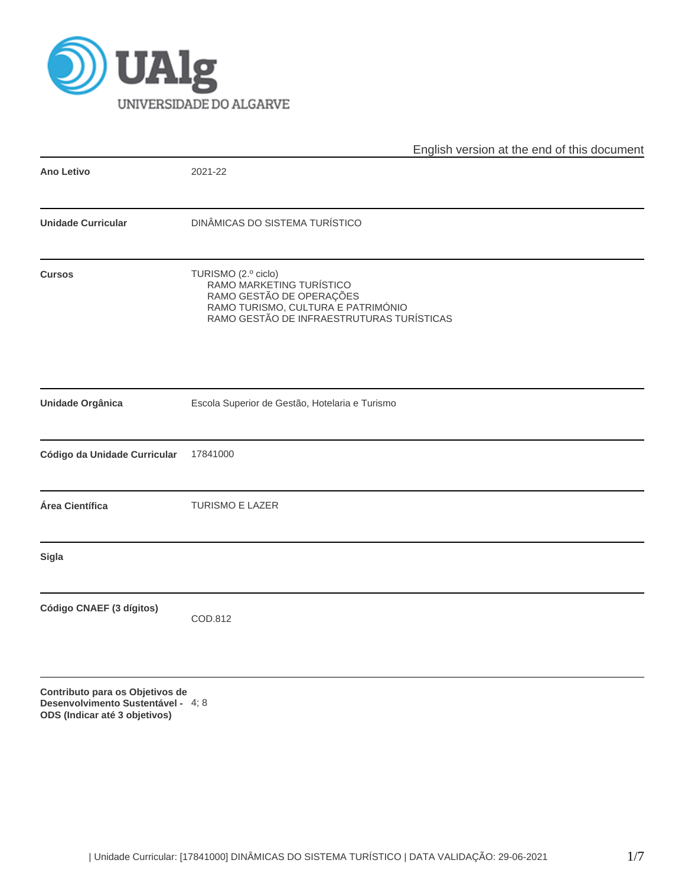

|                              | English version at the end of this document                                                                                                                    |  |  |  |  |  |  |
|------------------------------|----------------------------------------------------------------------------------------------------------------------------------------------------------------|--|--|--|--|--|--|
| Ano Letivo                   | 2021-22                                                                                                                                                        |  |  |  |  |  |  |
| <b>Unidade Curricular</b>    | DINÂMICAS DO SISTEMA TURÍSTICO                                                                                                                                 |  |  |  |  |  |  |
| <b>Cursos</b>                | TURISMO (2.º ciclo)<br>RAMO MARKETING TURÍSTICO<br>RAMO GESTÃO DE OPERAÇÕES<br>RAMO TURISMO, CULTURA E PATRIMÓNIO<br>RAMO GESTÃO DE INFRAESTRUTURAS TURÍSTICAS |  |  |  |  |  |  |
| Unidade Orgânica             | Escola Superior de Gestão, Hotelaria e Turismo                                                                                                                 |  |  |  |  |  |  |
| Código da Unidade Curricular | 17841000                                                                                                                                                       |  |  |  |  |  |  |
| Área Científica              | <b>TURISMO E LAZER</b>                                                                                                                                         |  |  |  |  |  |  |
| <b>Sigla</b>                 |                                                                                                                                                                |  |  |  |  |  |  |
| Código CNAEF (3 dígitos)     | COD.812                                                                                                                                                        |  |  |  |  |  |  |
|                              |                                                                                                                                                                |  |  |  |  |  |  |

**Contributo para os Objetivos de Desenvolvimento Sustentável - ODS (Indicar até 3 objetivos)** 4; 8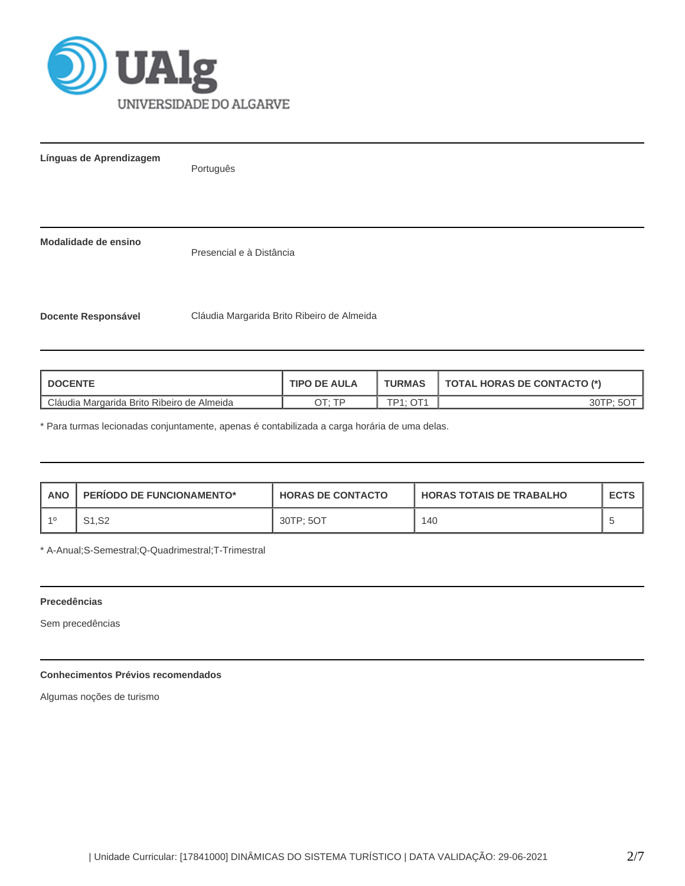

**Línguas de Aprendizagem**

Português

**Modalidade de ensino**

Presencial e à Distância

**Docente Responsável** Cláudia Margarida Brito Ribeiro de Almeida

| <b>DOCENTE</b>                             | <b>TIPO DE AULA</b> | <b>TURMAS</b>         | TOTAL HORAS DE CONTACTO (*) |
|--------------------------------------------|---------------------|-----------------------|-----------------------------|
| Cláudia Margarida Brito Ribeiro de Almeida | סד ּידר             | $TD4 \cdot \bigcap 4$ | 30TP:                       |

\* Para turmas lecionadas conjuntamente, apenas é contabilizada a carga horária de uma delas.

| <b>ANO</b> | <b>PERIODO DE FUNCIONAMENTO*</b> | <b>HORAS DE CONTACTO</b> | <b>I HORAS TOTAIS DE TRABALHO</b> | <b>ECTS</b> |
|------------|----------------------------------|--------------------------|-----------------------------------|-------------|
| -40        | S1, S2                           | 30TP: 5OT                | 140                               |             |

\* A-Anual;S-Semestral;Q-Quadrimestral;T-Trimestral

# **Precedências**

Sem precedências

# **Conhecimentos Prévios recomendados**

Algumas noções de turismo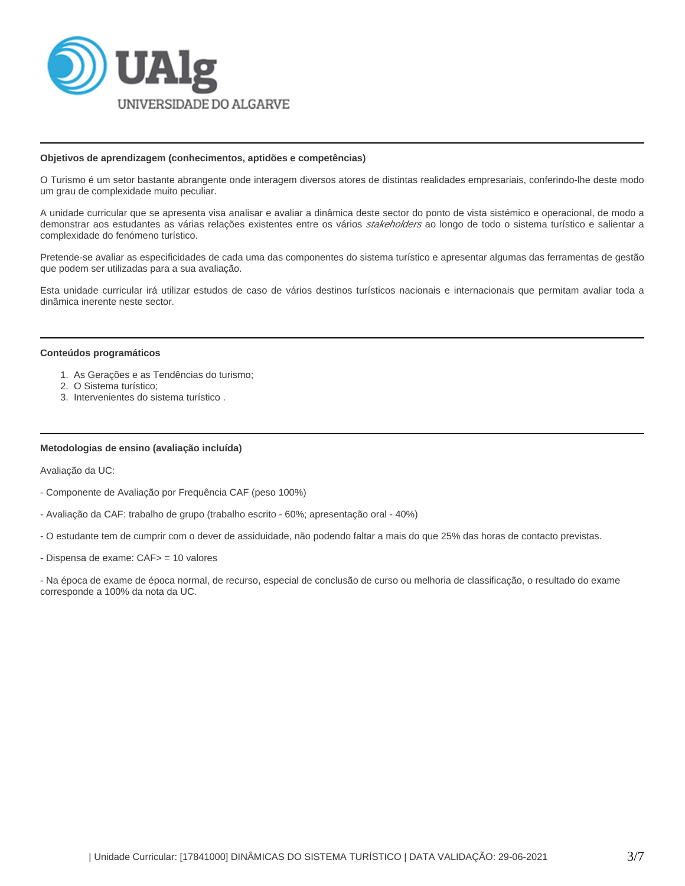

#### **Objetivos de aprendizagem (conhecimentos, aptidões e competências)**

O Turismo é um setor bastante abrangente onde interagem diversos atores de distintas realidades empresariais, conferindo-lhe deste modo um grau de complexidade muito peculiar.

A unidade curricular que se apresenta visa analisar e avaliar a dinâmica deste sector do ponto de vista sistémico e operacional, de modo a demonstrar aos estudantes as várias relações existentes entre os vários stakeholders ao longo de todo o sistema turístico e salientar a complexidade do fenómeno turístico.

Pretende-se avaliar as especificidades de cada uma das componentes do sistema turístico e apresentar algumas das ferramentas de gestão que podem ser utilizadas para a sua avaliação.

Esta unidade curricular irá utilizar estudos de caso de vários destinos turísticos nacionais e internacionais que permitam avaliar toda a dinâmica inerente neste sector.

#### **Conteúdos programáticos**

- 1. As Gerações e as Tendências do turismo;
- 2. O Sistema turístico;
- 3. Intervenientes do sistema turístico .

## **Metodologias de ensino (avaliação incluída)**

Avaliação da UC:

- Componente de Avaliação por Frequência CAF (peso 100%)
- Avaliação da CAF: trabalho de grupo (trabalho escrito 60%; apresentação oral 40%)
- O estudante tem de cumprir com o dever de assiduidade, não podendo faltar a mais do que 25% das horas de contacto previstas.
- Dispensa de exame: CAF> = 10 valores

- Na época de exame de época normal, de recurso, especial de conclusão de curso ou melhoria de classificação, o resultado do exame corresponde a 100% da nota da UC.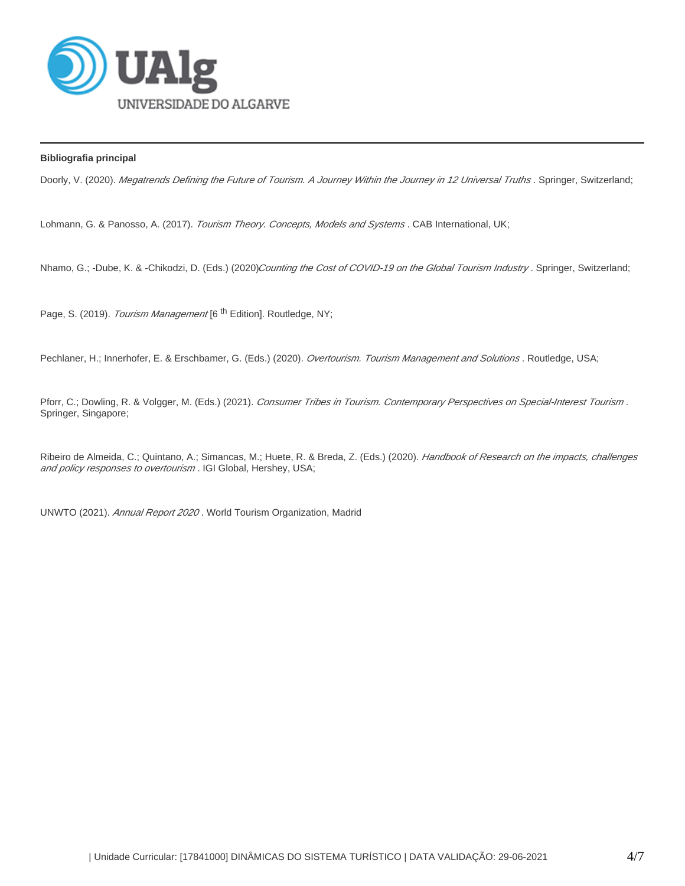

# **Bibliografia principal**

Doorly, V. (2020). Megatrends Defining the Future of Tourism. A Journey Within the Journey in 12 Universal Truths . Springer, Switzerland;

Lohmann, G. & Panosso, A. (2017). Tourism Theory. Concepts, Models and Systems. CAB International, UK;

Nhamo, G.; -Dube, K. & -Chikodzi, D. (Eds.) (2020)Counting the Cost of COVID-19 on the Global Tourism Industry. Springer, Switzerland;

Page, S. (2019). Tourism Management [6<sup>th</sup> Edition]. Routledge, NY;

Pechlaner, H.; Innerhofer, E. & Erschbamer, G. (Eds.) (2020). Overtourism. Tourism Management and Solutions. Routledge, USA;

Pforr, C.; Dowling, R. & Volgger, M. (Eds.) (2021). Consumer Tribes in Tourism. Contemporary Perspectives on Special-Interest Tourism. Springer, Singapore;

Ribeiro de Almeida, C.; Quintano, A.; Simancas, M.; Huete, R. & Breda, Z. (Eds.) (2020). Handbook of Research on the impacts, challenges and policy responses to overtourism. IGI Global, Hershey, USA;

UNWTO (2021). Annual Report 2020. World Tourism Organization, Madrid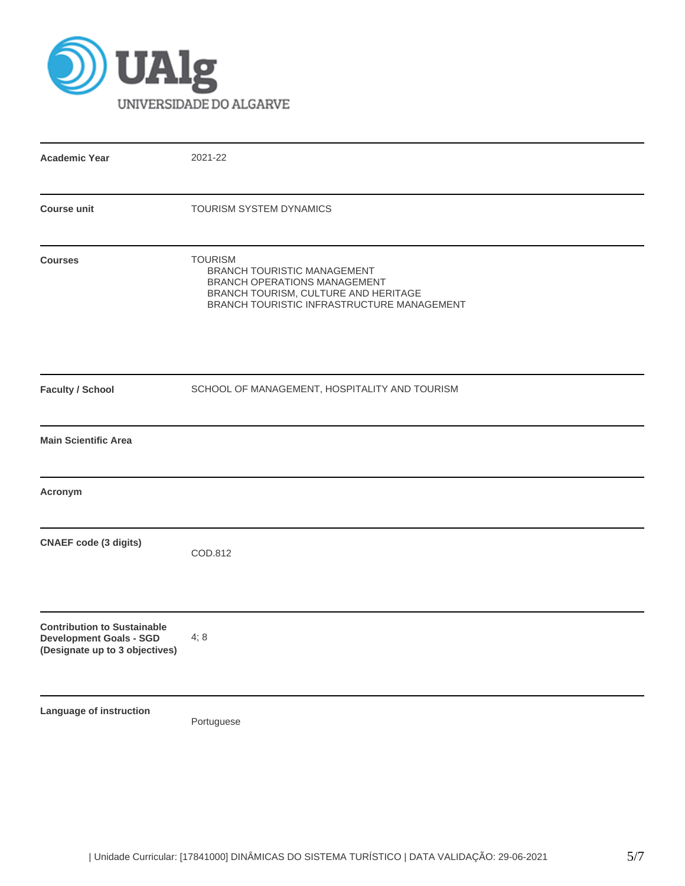

| <b>Academic Year</b>                                                                                   | 2021-22                                                                                                                                                             |
|--------------------------------------------------------------------------------------------------------|---------------------------------------------------------------------------------------------------------------------------------------------------------------------|
| <b>Course unit</b>                                                                                     | TOURISM SYSTEM DYNAMICS                                                                                                                                             |
| <b>Courses</b>                                                                                         | <b>TOURISM</b><br>BRANCH TOURISTIC MANAGEMENT<br>BRANCH OPERATIONS MANAGEMENT<br>BRANCH TOURISM, CULTURE AND HERITAGE<br>BRANCH TOURISTIC INFRASTRUCTURE MANAGEMENT |
| <b>Faculty / School</b>                                                                                | SCHOOL OF MANAGEMENT, HOSPITALITY AND TOURISM                                                                                                                       |
| <b>Main Scientific Area</b>                                                                            |                                                                                                                                                                     |
| Acronym                                                                                                |                                                                                                                                                                     |
| <b>CNAEF</b> code (3 digits)                                                                           | COD.812                                                                                                                                                             |
| <b>Contribution to Sustainable</b><br><b>Development Goals - SGD</b><br>(Designate up to 3 objectives) | 4;8                                                                                                                                                                 |
| Language of instruction                                                                                | Portuguese                                                                                                                                                          |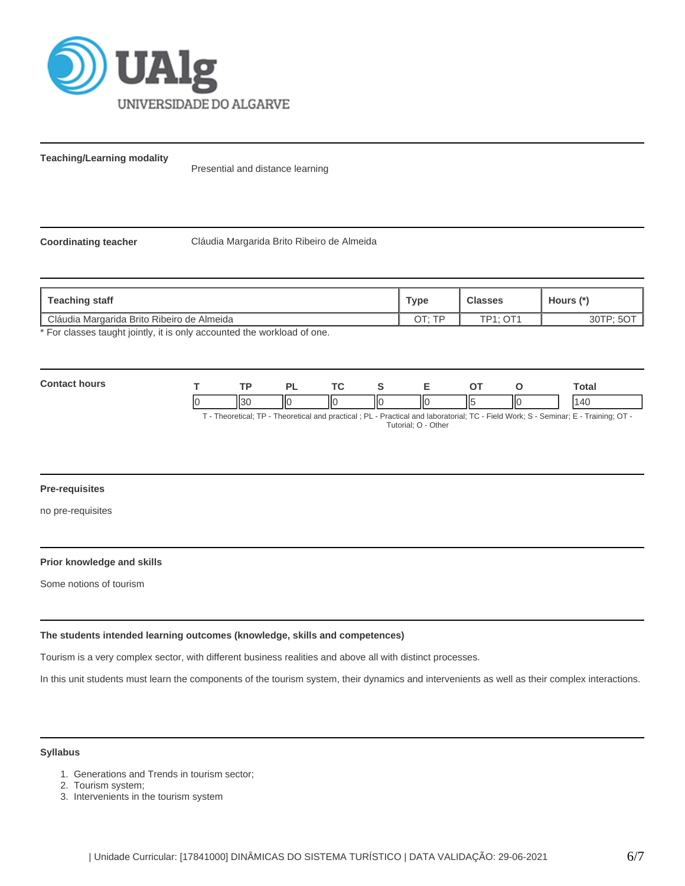

**Teaching/Learning modality**

Presential and distance learning

**Coordinating teacher** Cláudia Margarida Brito Ribeiro de Almeida

| <b>Type</b> |                    | Hours (*) |
|-------------|--------------------|-----------|
| OT: TP      | $TD4 \cdot \cap T$ | ΟU        |
|             |                    |           |

For classes taught jointly, it is only accounted the workload of one.

| Contad<br>hours |   |                        | ורז | <b>Trea</b> |    | - | ~-  |    | Гоtal |
|-----------------|---|------------------------|-----|-------------|----|---|-----|----|-------|
|                 | И | $\mathbf{u}$<br>ا د ۱۰ | ШC  | ш           | ШΟ | Ш | II٤ | IЮ | l Al  |

T - Theoretical; TP - Theoretical and practical ; PL - Practical and laboratorial; TC - Field Work; S - Seminar; E - Training; OT - Tutorial; O - Other

#### **Pre-requisites**

no pre-requisites

# **Prior knowledge and skills**

Some notions of tourism

## **The students intended learning outcomes (knowledge, skills and competences)**

Tourism is a very complex sector, with different business realities and above all with distinct processes.

In this unit students must learn the components of the tourism system, their dynamics and intervenients as well as their complex interactions.

## **Syllabus**

- 1. Generations and Trends in tourism sector;
- 2. Tourism system;
- 3. Intervenients in the tourism system